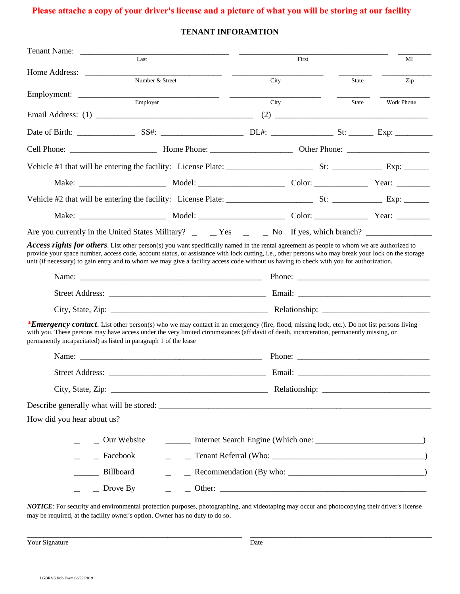## **Please attache a copy of your driver's license and a picture of what you will be storing at our facility**

## **TENANT INFORAMTION**

| $\overline{Last}$          |                                                                                                                                                                                                                                                                                                                                                                                                                                             |                                                                                                                        | First |       | МI                                                                                                                                                                                                                                                                                                                                                                                           |  |
|----------------------------|---------------------------------------------------------------------------------------------------------------------------------------------------------------------------------------------------------------------------------------------------------------------------------------------------------------------------------------------------------------------------------------------------------------------------------------------|------------------------------------------------------------------------------------------------------------------------|-------|-------|----------------------------------------------------------------------------------------------------------------------------------------------------------------------------------------------------------------------------------------------------------------------------------------------------------------------------------------------------------------------------------------------|--|
|                            | Number & Street                                                                                                                                                                                                                                                                                                                                                                                                                             |                                                                                                                        | City  |       | Zip                                                                                                                                                                                                                                                                                                                                                                                          |  |
|                            |                                                                                                                                                                                                                                                                                                                                                                                                                                             | <u> 1980 - Andrea Aonaich ann an t-Aonaich an t-Aonaich ann an t-Aonaich ann an t-Aonaich ann an t-Aonaich ann an </u> |       |       |                                                                                                                                                                                                                                                                                                                                                                                              |  |
|                            | Employer                                                                                                                                                                                                                                                                                                                                                                                                                                    |                                                                                                                        | City  | State | Work Phone                                                                                                                                                                                                                                                                                                                                                                                   |  |
|                            |                                                                                                                                                                                                                                                                                                                                                                                                                                             |                                                                                                                        |       |       | $(2) \begin{tabular}{c} \hline \rule[1pt]{1em}{12pt} \rule[1pt]{1em}{12pt} \rule[1pt]{1em}{12pt} \rule[1pt]{1em}{12pt} \rule[1pt]{1em}{12pt} \rule[1pt]{1em}{12pt} \rule[1pt]{1em}{12pt} \rule[1pt]{1em}{12pt} \rule[1pt]{1em}{12pt} \rule[1pt]{1em}{12pt} \rule[1pt]{1em}{12pt} \rule[1pt]{1em}{12pt} \rule[1pt]{1em}{12pt} \rule[1pt]{1em}{12pt} \rule[1pt]{1em}{12pt} \rule[1pt]{1em}{12$ |  |
|                            |                                                                                                                                                                                                                                                                                                                                                                                                                                             |                                                                                                                        |       |       |                                                                                                                                                                                                                                                                                                                                                                                              |  |
|                            |                                                                                                                                                                                                                                                                                                                                                                                                                                             |                                                                                                                        |       |       |                                                                                                                                                                                                                                                                                                                                                                                              |  |
|                            |                                                                                                                                                                                                                                                                                                                                                                                                                                             |                                                                                                                        |       |       |                                                                                                                                                                                                                                                                                                                                                                                              |  |
|                            |                                                                                                                                                                                                                                                                                                                                                                                                                                             |                                                                                                                        |       |       |                                                                                                                                                                                                                                                                                                                                                                                              |  |
|                            |                                                                                                                                                                                                                                                                                                                                                                                                                                             |                                                                                                                        |       |       |                                                                                                                                                                                                                                                                                                                                                                                              |  |
|                            |                                                                                                                                                                                                                                                                                                                                                                                                                                             |                                                                                                                        |       |       |                                                                                                                                                                                                                                                                                                                                                                                              |  |
|                            | Are you currently in the United States Military? _ _ _ Yes ______ No If yes, which branch? _______________                                                                                                                                                                                                                                                                                                                                  |                                                                                                                        |       |       |                                                                                                                                                                                                                                                                                                                                                                                              |  |
|                            | Access rights for others. List other person(s) you want specifically named in the rental agreement as people to whom we are authorized to<br>provide your space number, access code, account status, or assistance with lock cutting, i.e., other persons who may break your lock on the storage<br>unit (if necessary) to gain entry and to whom we may give a facility access code without us having to check with you for authorization. |                                                                                                                        |       |       |                                                                                                                                                                                                                                                                                                                                                                                              |  |
|                            |                                                                                                                                                                                                                                                                                                                                                                                                                                             |                                                                                                                        |       |       |                                                                                                                                                                                                                                                                                                                                                                                              |  |
|                            |                                                                                                                                                                                                                                                                                                                                                                                                                                             |                                                                                                                        |       |       |                                                                                                                                                                                                                                                                                                                                                                                              |  |
|                            |                                                                                                                                                                                                                                                                                                                                                                                                                                             |                                                                                                                        |       |       |                                                                                                                                                                                                                                                                                                                                                                                              |  |
|                            | <b>*Emergency contact.</b> List other person(s) who we may contact in an emergency (fire, flood, missing lock, etc.). Do not list persons living<br>with you. These persons may have access under the very limited circumstances (affidavit of death, incarceration, permanently missing, or<br>permanently incapacitated) as listed in paragraph 1 of the lease                                                                            |                                                                                                                        |       |       |                                                                                                                                                                                                                                                                                                                                                                                              |  |
|                            |                                                                                                                                                                                                                                                                                                                                                                                                                                             |                                                                                                                        |       |       |                                                                                                                                                                                                                                                                                                                                                                                              |  |
|                            |                                                                                                                                                                                                                                                                                                                                                                                                                                             |                                                                                                                        |       |       |                                                                                                                                                                                                                                                                                                                                                                                              |  |
|                            |                                                                                                                                                                                                                                                                                                                                                                                                                                             |                                                                                                                        |       |       |                                                                                                                                                                                                                                                                                                                                                                                              |  |
|                            |                                                                                                                                                                                                                                                                                                                                                                                                                                             |                                                                                                                        |       |       |                                                                                                                                                                                                                                                                                                                                                                                              |  |
| How did you hear about us? |                                                                                                                                                                                                                                                                                                                                                                                                                                             |                                                                                                                        |       |       |                                                                                                                                                                                                                                                                                                                                                                                              |  |
|                            | $\sim$ Our Website                                                                                                                                                                                                                                                                                                                                                                                                                          |                                                                                                                        |       |       |                                                                                                                                                                                                                                                                                                                                                                                              |  |
| $=$ Facebook               |                                                                                                                                                                                                                                                                                                                                                                                                                                             |                                                                                                                        |       |       |                                                                                                                                                                                                                                                                                                                                                                                              |  |
| Billboard                  |                                                                                                                                                                                                                                                                                                                                                                                                                                             |                                                                                                                        |       |       |                                                                                                                                                                                                                                                                                                                                                                                              |  |
|                            | $\angle$ Drove By                                                                                                                                                                                                                                                                                                                                                                                                                           |                                                                                                                        |       |       |                                                                                                                                                                                                                                                                                                                                                                                              |  |
|                            |                                                                                                                                                                                                                                                                                                                                                                                                                                             |                                                                                                                        |       |       |                                                                                                                                                                                                                                                                                                                                                                                              |  |

*NOTICE*: For security and environmental protection purposes, photographing, and videotaping may occur and photocopying their driver's license may be required, at the facility owner's option. Owner has no duty to do so.

Later Court Signature and the set of the set of the set of the set of the set of the set of the set of the set of the Date Date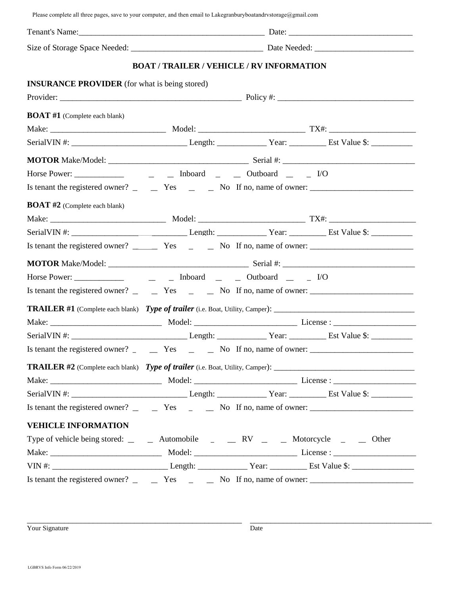Please complete all three pages, save to your computer, and then email to Lakegranburyboatandrvstorage@gmail.com

|                                                      |  | <b>BOAT / TRAILER / VEHICLE / RV INFORMATION</b>                                             |  |  |  |
|------------------------------------------------------|--|----------------------------------------------------------------------------------------------|--|--|--|
| <b>INSURANCE PROVIDER</b> (for what is being stored) |  |                                                                                              |  |  |  |
|                                                      |  |                                                                                              |  |  |  |
| <b>BOAT #1</b> (Complete each blank)                 |  |                                                                                              |  |  |  |
|                                                      |  |                                                                                              |  |  |  |
|                                                      |  |                                                                                              |  |  |  |
|                                                      |  |                                                                                              |  |  |  |
|                                                      |  |                                                                                              |  |  |  |
|                                                      |  | Is tenant the registered owner? $\qquad \qquad$ Yes $\qquad \qquad$ No If no, name of owner: |  |  |  |
| <b>BOAT #2</b> (Complete each blank)                 |  |                                                                                              |  |  |  |
|                                                      |  |                                                                                              |  |  |  |
|                                                      |  |                                                                                              |  |  |  |
|                                                      |  |                                                                                              |  |  |  |
|                                                      |  |                                                                                              |  |  |  |
|                                                      |  |                                                                                              |  |  |  |
|                                                      |  |                                                                                              |  |  |  |
|                                                      |  |                                                                                              |  |  |  |
|                                                      |  |                                                                                              |  |  |  |
|                                                      |  |                                                                                              |  |  |  |
|                                                      |  |                                                                                              |  |  |  |
|                                                      |  |                                                                                              |  |  |  |
|                                                      |  |                                                                                              |  |  |  |
|                                                      |  |                                                                                              |  |  |  |
|                                                      |  | Is tenant the registered owner? $\qquad \qquad$ Yes $\qquad \qquad$ No If no, name of owner: |  |  |  |
| <b>VEHICLE INFORMATION</b>                           |  |                                                                                              |  |  |  |
|                                                      |  | Type of vehicle being stored: _ _ _ Automobile _ _ _ RV _ _ _ Motorcycle _ _ _ Other         |  |  |  |
|                                                      |  |                                                                                              |  |  |  |
|                                                      |  |                                                                                              |  |  |  |
|                                                      |  | Is tenant the registered owner? $\qquad \qquad$ Yes $\qquad \qquad$ No If no, name of owner: |  |  |  |

Nour Signature and the set of the set of the set of the set of the set of the set of the set of the set of the Date